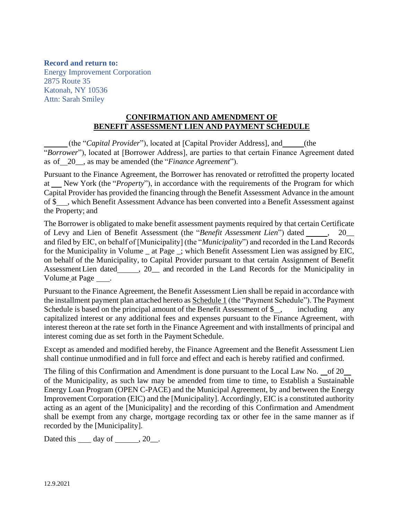### **Record and return to:**

Energy Improvement Corporation 2875 Route 35 Katonah, NY 10536 Attn: Sarah Smiley

#### **CONFIRMATION AND AMENDMENT OF BENEFIT ASSESSMENT LIEN AND PAYMENT SCHEDULE**

(the "*Capital Provider*"), located at [Capital Provider Address], and (the "*Borrower*"), located at [Borrower Address], are parties to that certain Finance Agreement dated as of 20\_\_, as may be amended (the "*Finance Agreement*").

Pursuant to the Finance Agreement, the Borrower has renovated or retrofitted the property located at \_\_ New York (the "*Property*"), in accordance with the requirements of the Program for which Capital Provider has provided the financing through the Benefit Assessment Advance in the amount of \$\_\_, which Benefit Assessment Advance has been converted into a Benefit Assessment against the Property; and

The Borrower is obligated to make benefit assessment payments required by that certain Certificate of Levy and Lien of Benefit Assessment (the "*Benefit Assessment Lien*") dated \_\_\_\_\_, 20\_\_ and filed by EIC, on behalf of [Municipality] (the "*Municipality*") and recorded in the Land Records for the Municipality in Volume at Page ; which Benefit Assessment Lien was assigned by EIC, on behalf of the Municipality, to Capital Provider pursuant to that certain Assignment of Benefit Assessment Lien dated \_\_\_\_\_, 20\_\_ and recorded in the Land Records for the Municipality in Volume at Page \_\_\_\_.

Pursuant to the Finance Agreement, the Benefit Assessment Lien shall be repaid in accordance with the installment payment plan attached hereto as Schedule 1 (the "Payment Schedule"). The Payment Schedule is based on the principal amount of the Benefit Assessment of \$, including any capitalized interest or any additional fees and expenses pursuant to the Finance Agreement, with interest thereon at the rate set forth in the Finance Agreement and with installments of principal and interest coming due as set forth in the Payment Schedule.

Except as amended and modified hereby, the Finance Agreement and the Benefit Assessment Lien shall continue unmodified and in full force and effect and each is hereby ratified and confirmed.

The filing of this Confirmation and Amendment is done pursuant to the Local Law No. of 20 of the Municipality, as such law may be amended from time to time, to Establish a Sustainable Energy Loan Program (OPEN C-PACE) and the Municipal Agreement, by and between the Energy Improvement Corporation (EIC) and the [Municipality]. Accordingly, EIC is a constituted authority acting as an agent of the [Municipality] and the recording of this Confirmation and Amendment shall be exempt from any charge, mortgage recording tax or other fee in the same manner as if recorded by the [Municipality].

Dated this  $\rule{1em}{0.15mm}$  day of  $\rule{1em}{0.15mm}$ , 20 $\rule{1em}{0.15mm}$ .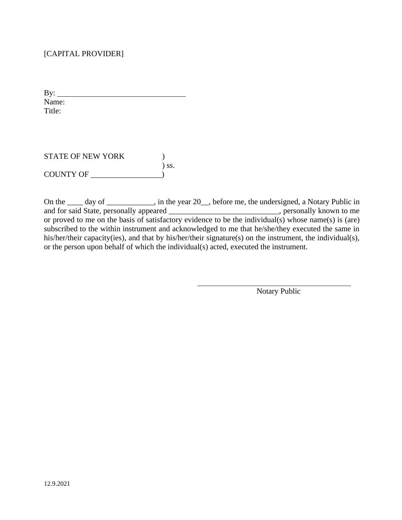## [CAPITAL PROVIDER]

By: Name: Title:

STATE OF NEW YORK (1) ) ss. COUNTY OF \_\_\_\_\_\_\_\_\_\_\_\_\_\_\_\_\_\_)

On the \_\_\_\_ day of \_\_\_\_\_\_\_\_\_, in the year 20\_, before me, the undersigned, a Notary Public in and for said State, personally appeared \_\_\_\_\_\_\_\_\_\_\_\_\_\_\_\_\_\_\_\_\_\_\_\_\_, personally known to me or proved to me on the basis of satisfactory evidence to be the individual(s) whose name(s) is (are) subscribed to the within instrument and acknowledged to me that he/she/they executed the same in his/her/their capacity(ies), and that by his/her/their signature(s) on the instrument, the individual(s), or the person upon behalf of which the individual(s) acted, executed the instrument.

Notary Public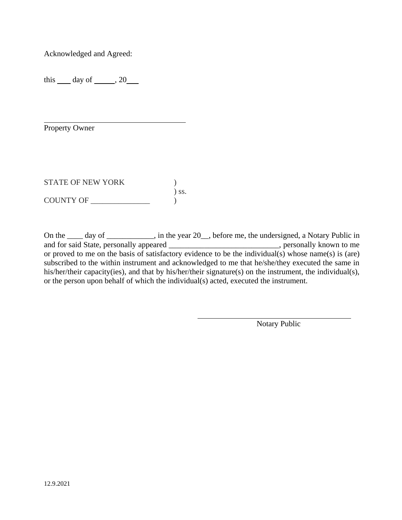Acknowledged and Agreed:

this  $\_\_$  day of  $\_\_$ , 20 $\_\_$ 

Property Owner

STATE OF NEW YORK  $)$ ) ss. COUNTY OF \_\_\_\_\_\_\_\_\_\_\_\_\_\_\_ )

On the \_\_\_\_ day of \_\_\_\_\_\_\_\_\_, in the year 20\_, before me, the undersigned, a Notary Public in and for said State, personally appeared \_\_\_\_\_\_\_\_\_\_\_\_\_\_\_\_\_\_\_\_\_\_\_\_\_\_\_\_, personally known to me or proved to me on the basis of satisfactory evidence to be the individual(s) whose name(s) is (are) subscribed to the within instrument and acknowledged to me that he/she/they executed the same in his/her/their capacity(ies), and that by his/her/their signature(s) on the instrument, the individual(s), or the person upon behalf of which the individual(s) acted, executed the instrument.

Notary Public